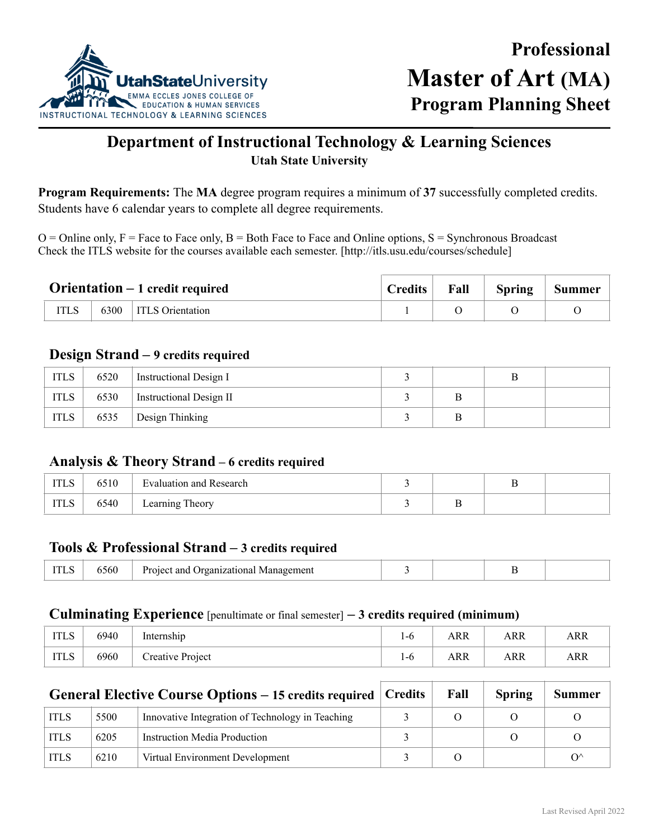

# **Department of Instructional Technology & Learning Sciences Utah State University**

**Program Requirements:** The **MA** degree program requires a minimum of **37** successfully completed credits. Students have 6 calendar years to complete all degree requirements.

 $O =$ Online only,  $F =$  Face to Face only,  $B =$  Both Face to Face and Online options,  $S =$  Synchronous Broadcast Check the ITLS website for the courses available each semester. [http://itls.usu.edu/courses/schedule]

| <b>Orientation</b> $-1$ credit required |      | <b>Credits</b>          | Fall | Spring | <b>Summer</b> |  |
|-----------------------------------------|------|-------------------------|------|--------|---------------|--|
|                                         | 6300 | <b>ITLS</b> Orientation |      |        |               |  |

## **Design Strand – 9 credits required**

| <b>ITLS</b> | 6520 | Instructional Design I  |  |  |
|-------------|------|-------------------------|--|--|
| <b>ITLS</b> | 6530 | Instructional Design II |  |  |
| <b>ITLS</b> | 6535 | Design Thinking         |  |  |

### **Analysis & Theory Strand – 6 credits required**

| <b>TTT</b><br>11 L.S | 6510 | Evaluation and Research |   |  |
|----------------------|------|-------------------------|---|--|
| <b>ITLS</b>          | 6540 | 1 heory<br>Learning     | ÷ |  |

### **Tools & Professional Strand – 3 credits required**

| 1100 | აახს<br>. | izationa<br>$.\n$ roan<br>— D≁<br>ano<br>Management |  |  | $\overline{\phantom{0}}$ |  |
|------|-----------|-----------------------------------------------------|--|--|--------------------------|--|
|------|-----------|-----------------------------------------------------|--|--|--------------------------|--|

#### **Culminating Experience** [penultimate or final semester] **– 3 credits required (minimum)**

| <b>ITLS</b> | 6940 | $\cdot$ $\cdot$<br>Internship | 1-0 | ARR        | ARR | <b>ARR</b> |
|-------------|------|-------------------------------|-----|------------|-----|------------|
| <b>ITLS</b> | 6960 | Creative Project              | 1-0 | <b>ARR</b> | ARR | <b>ARR</b> |

| <b>General Elective Course Options – 15 credits required Credits</b> |      | Fall                                             | <b>Spring</b> | <b>Summer</b> |              |
|----------------------------------------------------------------------|------|--------------------------------------------------|---------------|---------------|--------------|
| <b>ITLS</b>                                                          | 5500 | Innovative Integration of Technology in Teaching |               |               |              |
| <b>ITLS</b>                                                          | 6205 | <b>Instruction Media Production</b>              |               |               |              |
| <b>ITLS</b>                                                          | 6210 | Virtual Environment Development                  | O             |               | $O^{\wedge}$ |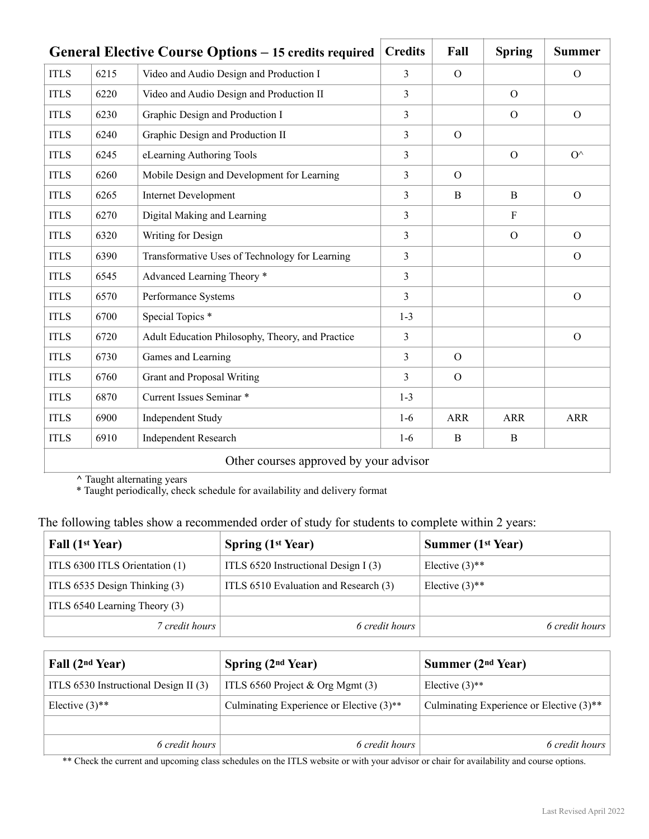|             | <b>General Elective Course Options – 15 credits required</b> |                                                  | <b>Credits</b> | Fall           | <b>Spring</b>  | <b>Summer</b> |
|-------------|--------------------------------------------------------------|--------------------------------------------------|----------------|----------------|----------------|---------------|
| <b>ITLS</b> | 6215                                                         | Video and Audio Design and Production I          | 3              | $\Omega$       |                | $\Omega$      |
| <b>ITLS</b> | 6220                                                         | Video and Audio Design and Production II         | 3              |                | $\overline{O}$ |               |
| <b>ITLS</b> | 6230                                                         | Graphic Design and Production I                  | 3              |                | $\Omega$       | $\Omega$      |
| <b>ITLS</b> | 6240                                                         | Graphic Design and Production II                 | 3              | $\overline{O}$ |                |               |
| <b>ITLS</b> | 6245                                                         | eLearning Authoring Tools                        | 3              |                | $\overline{O}$ | $O^{\wedge}$  |
| <b>ITLS</b> | 6260                                                         | Mobile Design and Development for Learning       | 3              | $\overline{O}$ |                |               |
| <b>ITLS</b> | 6265                                                         | <b>Internet Development</b>                      | 3              | B              | $\overline{B}$ | $\Omega$      |
| <b>ITLS</b> | 6270                                                         | Digital Making and Learning                      | 3              |                | $\mathbf{F}$   |               |
| <b>ITLS</b> | 6320                                                         | Writing for Design                               | 3              |                | $\Omega$       | $\Omega$      |
| <b>ITLS</b> | 6390                                                         | Transformative Uses of Technology for Learning   | 3              |                |                | $\Omega$      |
| <b>ITLS</b> | 6545                                                         | Advanced Learning Theory *                       | 3              |                |                |               |
| <b>ITLS</b> | 6570                                                         | Performance Systems                              | 3              |                |                | $\mathcal{O}$ |
| <b>ITLS</b> | 6700                                                         | Special Topics <sup>*</sup>                      | $1-3$          |                |                |               |
| <b>ITLS</b> | 6720                                                         | Adult Education Philosophy, Theory, and Practice | 3              |                |                | $\mathcal{O}$ |
| <b>ITLS</b> | 6730                                                         | Games and Learning                               | 3              | $\Omega$       |                |               |
| <b>ITLS</b> | 6760                                                         | <b>Grant and Proposal Writing</b>                | 3              | $\Omega$       |                |               |
| <b>ITLS</b> | 6870                                                         | Current Issues Seminar *                         | $1 - 3$        |                |                |               |
| <b>ITLS</b> | 6900                                                         | <b>Independent Study</b>                         | $1-6$          | <b>ARR</b>     | <b>ARR</b>     | <b>ARR</b>    |
| <b>ITLS</b> | 6910                                                         | <b>Independent Research</b>                      | $1-6$          | B              | B              |               |
|             |                                                              | Other courses approved by your advisor           |                |                |                |               |

**^** Taught alternating years

\* Taught periodically, check schedule for availability and delivery format

| The following tables show a recommended order of study for students to complete within 2 years: |  |
|-------------------------------------------------------------------------------------------------|--|
|                                                                                                 |  |

| Fall (1 <sup>st</sup> Year)    | <b>Spring (1st Year)</b>              | <b>Summer (1st Year)</b>     |
|--------------------------------|---------------------------------------|------------------------------|
| ITLS 6300 ITLS Orientation (1) | ITLS 6520 Instructional Design I (3)  | Elective $(3)$ <sup>**</sup> |
| ITLS 6535 Design Thinking (3)  | ITLS 6510 Evaluation and Research (3) | Elective $(3)$ <sup>**</sup> |
| ITLS 6540 Learning Theory (3)  |                                       |                              |
| 7 credit hours                 | 6 credit hours                        | 6 credit hours               |

| Fall (2 <sup>nd</sup> Year)           | Spring $(2nd Year)$                                    | Summer $(2nd Year)$                                    |
|---------------------------------------|--------------------------------------------------------|--------------------------------------------------------|
| ITLS 6530 Instructional Design II (3) | ITLS 6560 Project $&$ Org Mgmt (3)                     | Elective $(3)$ <sup>**</sup>                           |
| Elective $(3)$ <sup>**</sup>          | Culminating Experience or Elective $(3)$ <sup>**</sup> | Culminating Experience or Elective $(3)$ <sup>**</sup> |
|                                       |                                                        |                                                        |
| 6 credit hours                        | 6 credit hours                                         | 6 credit hours                                         |

\*\* Check the current and upcoming class schedules on the ITLS website or with your advisor or chair for availability and course options.